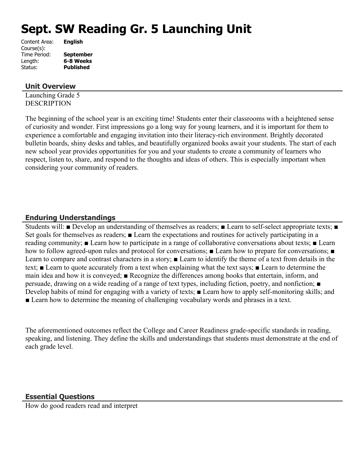# **Sept. SW Reading Gr. 5 Launching Unit**

| Content Area: | <b>English</b>   |
|---------------|------------------|
| Course(s):    |                  |
| Time Period:  | <b>September</b> |
| Length:       | 6-8 Weeks        |
| Status:       | <b>Published</b> |
|               |                  |

#### **Unit Overview**

Launching Grade 5 **DESCRIPTION** 

The beginning of the school year is an exciting time! Students enter their classrooms with a heightened sense of curiosity and wonder. First impressions go a long way for young learners, and it is important for them to experience a comfortable and engaging invitation into their literacy-rich environment. Brightly decorated bulletin boards, shiny desks and tables, and beautifully organized books await your students. The start of each new school year provides opportunities for you and your students to create a community of learners who respect, listen to, share, and respond to the thoughts and ideas of others. This is especially important when considering your community of readers.

#### **Enduring Understandings**

Students will: ■ Develop an understanding of themselves as readers; ■ Learn to self-select appropriate texts; ■ Set goals for themselves as readers; ■ Learn the expectations and routines for actively participating in a reading community; ■ Learn how to participate in a range of collaborative conversations about texts; ■ Learn how to follow agreed-upon rules and protocol for conversations; ■ Learn how to prepare for conversations; ■ Learn to compare and contrast characters in a story; ■ Learn to identify the theme of a text from details in the text; ■ Learn to quote accurately from a text when explaining what the text says; ■ Learn to determine the main idea and how it is conveyed; ■ Recognize the differences among books that entertain, inform, and persuade, drawing on a wide reading of a range of text types, including fiction, poetry, and nonfiction; ■ Develop habits of mind for engaging with a variety of texts; ■ Learn how to apply self-monitoring skills; and ■ Learn how to determine the meaning of challenging vocabulary words and phrases in a text.

The aforementioned outcomes reflect the College and Career Readiness grade-specific standards in reading, speaking, and listening. They define the skills and understandings that students must demonstrate at the end of each grade level.

## **Essential Questions**

How do good readers read and interpret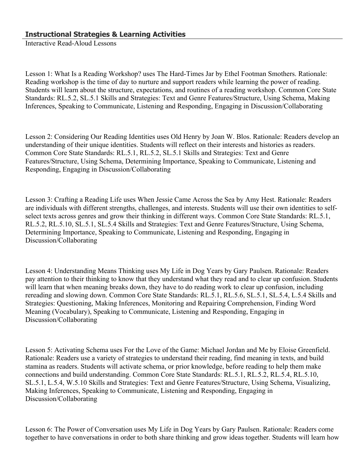Interactive Read-Aloud Lessons

Lesson 1: What Is a Reading Workshop? uses The Hard-Times Jar by Ethel Footman Smothers. Rationale: Reading workshop is the time of day to nurture and support readers while learning the power of reading. Students will learn about the structure, expectations, and routines of a reading workshop. Common Core State Standards: RL.5.2, SL.5.1 Skills and Strategies: Text and Genre Features/Structure, Using Schema, Making Inferences, Speaking to Communicate, Listening and Responding, Engaging in Discussion/Collaborating

Lesson 2: Considering Our Reading Identities uses Old Henry by Joan W. Blos. Rationale: Readers develop an understanding of their unique identities. Students will reflect on their interests and histories as readers. Common Core State Standards: RL.5.1, RL.5.2, SL.5.1 Skills and Strategies: Text and Genre Features/Structure, Using Schema, Determining Importance, Speaking to Communicate, Listening and Responding, Engaging in Discussion/Collaborating

Lesson 3: Crafting a Reading Life uses When Jessie Came Across the Sea by Amy Hest. Rationale: Readers are individuals with different strengths, challenges, and interests. Students will use their own identities to selfselect texts across genres and grow their thinking in different ways. Common Core State Standards: RL.5.1, RL.5.2, RL.5.10, SL.5.1, SL.5.4 Skills and Strategies: Text and Genre Features/Structure, Using Schema, Determining Importance, Speaking to Communicate, Listening and Responding, Engaging in Discussion/Collaborating

Lesson 4: Understanding Means Thinking uses My Life in Dog Years by Gary Paulsen. Rationale: Readers pay attention to their thinking to know that they understand what they read and to clear up confusion. Students will learn that when meaning breaks down, they have to do reading work to clear up confusion, including rereading and slowing down. Common Core State Standards: RL.5.1, RL.5.6, SL.5.1, SL.5.4, L.5.4 Skills and Strategies: Questioning, Making Inferences, Monitoring and Repairing Comprehension, Finding Word Meaning (Vocabulary), Speaking to Communicate, Listening and Responding, Engaging in Discussion/Collaborating

Lesson 5: Activating Schema uses For the Love of the Game: Michael Jordan and Me by Eloise Greenfield. Rationale: Readers use a variety of strategies to understand their reading, find meaning in texts, and build stamina as readers. Students will activate schema, or prior knowledge, before reading to help them make connections and build understanding. Common Core State Standards: RL.5.1, RL.5.2, RL.5.4, RL.5.10, SL.5.1, L.5.4, W.5.10 Skills and Strategies: Text and Genre Features/Structure, Using Schema, Visualizing, Making Inferences, Speaking to Communicate, Listening and Responding, Engaging in Discussion/Collaborating

Lesson 6: The Power of Conversation uses My Life in Dog Years by Gary Paulsen. Rationale: Readers come together to have conversations in order to both share thinking and grow ideas together. Students will learn how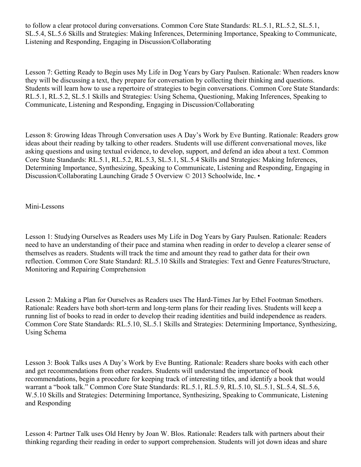to follow a clear protocol during conversations. Common Core State Standards: RL.5.1, RL.5.2, SL.5.1, SL.5.4, SL.5.6 Skills and Strategies: Making Inferences, Determining Importance, Speaking to Communicate, Listening and Responding, Engaging in Discussion/Collaborating

Lesson 7: Getting Ready to Begin uses My Life in Dog Years by Gary Paulsen. Rationale: When readers know they will be discussing a text, they prepare for conversation by collecting their thinking and questions. Students will learn how to use a repertoire of strategies to begin conversations. Common Core State Standards: RL.5.1, RL.5.2, SL.5.1 Skills and Strategies: Using Schema, Questioning, Making Inferences, Speaking to Communicate, Listening and Responding, Engaging in Discussion/Collaborating

Lesson 8: Growing Ideas Through Conversation uses A Day's Work by Eve Bunting. Rationale: Readers grow ideas about their reading by talking to other readers. Students will use different conversational moves, like asking questions and using textual evidence, to develop, support, and defend an idea about a text. Common Core State Standards: RL.5.1, RL.5.2, RL.5.3, SL.5.1, SL.5.4 Skills and Strategies: Making Inferences, Determining Importance, Synthesizing, Speaking to Communicate, Listening and Responding, Engaging in Discussion/Collaborating Launching Grade 5 Overview © 2013 Schoolwide, Inc. •

Mini-Lessons

Lesson 1: Studying Ourselves as Readers uses My Life in Dog Years by Gary Paulsen. Rationale: Readers need to have an understanding of their pace and stamina when reading in order to develop a clearer sense of themselves as readers. Students will track the time and amount they read to gather data for their own reflection. Common Core State Standard: RL.5.10 Skills and Strategies: Text and Genre Features/Structure, Monitoring and Repairing Comprehension

Lesson 2: Making a Plan for Ourselves as Readers uses The Hard-Times Jar by Ethel Footman Smothers. Rationale: Readers have both short-term and long-term plans for their reading lives. Students will keep a running list of books to read in order to develop their reading identities and build independence as readers. Common Core State Standards: RL.5.10, SL.5.1 Skills and Strategies: Determining Importance, Synthesizing, Using Schema

Lesson 3: Book Talks uses A Day's Work by Eve Bunting. Rationale: Readers share books with each other and get recommendations from other readers. Students will understand the importance of book recommendations, begin a procedure for keeping track of interesting titles, and identify a book that would warrant a "book talk." Common Core State Standards: RL.5.1, RL.5.9, RL.5.10, SL.5.1, SL.5.4, SL.5.6, W.5.10 Skills and Strategies: Determining Importance, Synthesizing, Speaking to Communicate, Listening and Responding

Lesson 4: Partner Talk uses Old Henry by Joan W. Blos. Rationale: Readers talk with partners about their thinking regarding their reading in order to support comprehension. Students will jot down ideas and share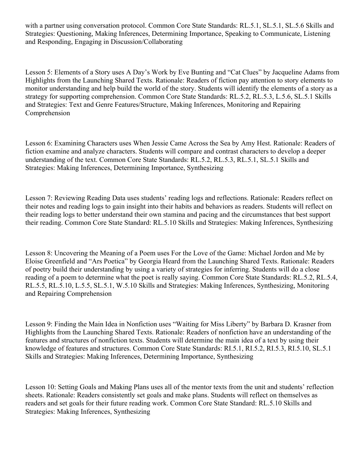with a partner using conversation protocol. Common Core State Standards: RL.5.1, SL.5.1, SL.5.6 Skills and Strategies: Questioning, Making Inferences, Determining Importance, Speaking to Communicate, Listening and Responding, Engaging in Discussion/Collaborating

Lesson 5: Elements of a Story uses A Day's Work by Eve Bunting and "Cat Clues" by Jacqueline Adams from Highlights from the Launching Shared Texts. Rationale: Readers of fiction pay attention to story elements to monitor understanding and help build the world of the story. Students will identify the elements of a story as a strategy for supporting comprehension. Common Core State Standards: RL.5.2, RL.5.3, L.5.6, SL.5.1 Skills and Strategies: Text and Genre Features/Structure, Making Inferences, Monitoring and Repairing Comprehension

Lesson 6: Examining Characters uses When Jessie Came Across the Sea by Amy Hest. Rationale: Readers of fiction examine and analyze characters. Students will compare and contrast characters to develop a deeper understanding of the text. Common Core State Standards: RL.5.2, RL.5.3, RL.5.1, SL.5.1 Skills and Strategies: Making Inferences, Determining Importance, Synthesizing

Lesson 7: Reviewing Reading Data uses students' reading logs and reflections. Rationale: Readers reflect on their notes and reading logs to gain insight into their habits and behaviors as readers. Students will reflect on their reading logs to better understand their own stamina and pacing and the circumstances that best support their reading. Common Core State Standard: RL.5.10 Skills and Strategies: Making Inferences, Synthesizing

Lesson 8: Uncovering the Meaning of a Poem uses For the Love of the Game: Michael Jordon and Me by Eloise Greenfield and "Ars Poetica" by Georgia Heard from the Launching Shared Texts. Rationale: Readers of poetry build their understanding by using a variety of strategies for inferring. Students will do a close reading of a poem to determine what the poet is really saying. Common Core State Standards: RL.5.2, RL.5.4, RL.5.5, RL.5.10, L.5.5, SL.5.1, W.5.10 Skills and Strategies: Making Inferences, Synthesizing, Monitoring and Repairing Comprehension

Lesson 9: Finding the Main Idea in Nonfiction uses "Waiting for Miss Liberty" by Barbara D. Krasner from Highlights from the Launching Shared Texts. Rationale: Readers of nonfiction have an understanding of the features and structures of nonfiction texts. Students will determine the main idea of a text by using their knowledge of features and structures. Common Core State Standards: RI.5.1, RI.5.2, RI.5.3, RI.5.10, SL.5.1 Skills and Strategies: Making Inferences, Determining Importance, Synthesizing

Lesson 10: Setting Goals and Making Plans uses all of the mentor texts from the unit and students' reflection sheets. Rationale: Readers consistently set goals and make plans. Students will reflect on themselves as readers and set goals for their future reading work. Common Core State Standard: RL.5.10 Skills and Strategies: Making Inferences, Synthesizing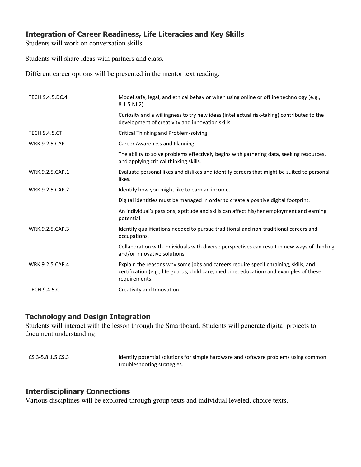#### **Integration of Career Readiness, Life Literacies and Key Skills**

Students will work on conversation skills.

Students will share ideas with partners and class.

Different career options will be presented in the mentor text reading.

| TECH.9.4.5.DC.4      | Model safe, legal, and ethical behavior when using online or offline technology (e.g.,<br>$8.1.5.NI.2$ ).                                                                                         |
|----------------------|---------------------------------------------------------------------------------------------------------------------------------------------------------------------------------------------------|
|                      | Curiosity and a willingness to try new ideas (intellectual risk-taking) contributes to the<br>development of creativity and innovation skills.                                                    |
| <b>TECH.9.4.5.CT</b> | Critical Thinking and Problem-solving                                                                                                                                                             |
| <b>WRK.9.2.5.CAP</b> | <b>Career Awareness and Planning</b>                                                                                                                                                              |
|                      | The ability to solve problems effectively begins with gathering data, seeking resources,<br>and applying critical thinking skills.                                                                |
| WRK.9.2.5.CAP.1      | Evaluate personal likes and dislikes and identify careers that might be suited to personal<br>likes.                                                                                              |
| WRK.9.2.5.CAP.2      | Identify how you might like to earn an income.                                                                                                                                                    |
|                      | Digital identities must be managed in order to create a positive digital footprint.                                                                                                               |
|                      | An individual's passions, aptitude and skills can affect his/her employment and earning<br>potential.                                                                                             |
| WRK.9.2.5.CAP.3      | Identify qualifications needed to pursue traditional and non-traditional careers and<br>occupations.                                                                                              |
|                      | Collaboration with individuals with diverse perspectives can result in new ways of thinking<br>and/or innovative solutions.                                                                       |
| WRK.9.2.5.CAP.4      | Explain the reasons why some jobs and careers require specific training, skills, and<br>certification (e.g., life guards, child care, medicine, education) and examples of these<br>requirements. |
| <b>TECH.9.4.5.CI</b> | Creativity and Innovation                                                                                                                                                                         |

## **Technology and Design Integration**

Students will interact with the lesson through the Smartboard. Students will generate digital projects to document understanding.

CS.3-5.8.1.5.CS.3 Identify potential solutions for simple hardware and software problems using common troubleshooting strategies.

#### **Interdisciplinary Connections**

Various disciplines will be explored through group texts and individual leveled, choice texts.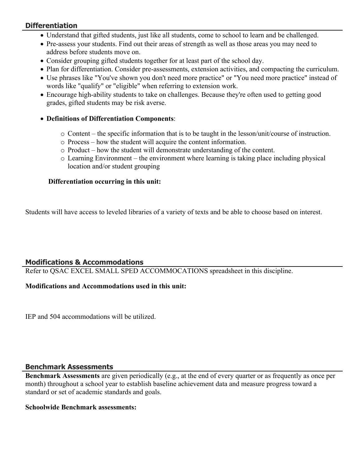## **Differentiation**

- Understand that gifted students, just like all students, come to school to learn and be challenged.
- Pre-assess your students. Find out their areas of strength as well as those areas you may need to address before students move on.
- Consider grouping gifted students together for at least part of the school day.
- Plan for differentiation. Consider pre-assessments, extension activities, and compacting the curriculum.
- Use phrases like "You've shown you don't need more practice" or "You need more practice" instead of words like "qualify" or "eligible" when referring to extension work.
- Encourage high-ability students to take on challenges. Because they're often used to getting good grades, gifted students may be risk averse.
- **Definitions of Differentiation Components**:
	- $\circ$  Content the specific information that is to be taught in the lesson/unit/course of instruction.
	- o Process how the student will acquire the content information.
	- o Product how the student will demonstrate understanding of the content.
	- $\circ$  Learning Environment the environment where learning is taking place including physical location and/or student grouping

## **Differentiation occurring in this unit:**

Students will have access to leveled libraries of a variety of texts and be able to choose based on interest.

## **Modifications & Accommodations**

Refer to QSAC EXCEL SMALL SPED ACCOMMOCATIONS spreadsheet in this discipline.

## **Modifications and Accommodations used in this unit:**

IEP and 504 accommodations will be utilized.

## **Benchmark Assessments**

**Benchmark Assessments** are given periodically (e.g., at the end of every quarter or as frequently as once per month) throughout a school year to establish baseline achievement data and measure progress toward a standard or set of academic standards and goals.

#### **Schoolwide Benchmark assessments:**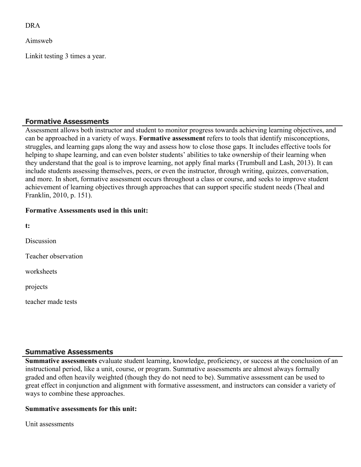DRA

Aimsweb

Linkit testing 3 times a year.

## **Formative Assessments**

Assessment allows both instructor and student to monitor progress towards achieving learning objectives, and can be approached in a variety of ways. **Formative assessment** refers to tools that identify misconceptions, struggles, and learning gaps along the way and assess how to close those gaps. It includes effective tools for helping to shape learning, and can even bolster students' abilities to take ownership of their learning when they understand that the goal is to improve learning, not apply final marks (Trumbull and Lash, 2013). It can include students assessing themselves, peers, or even the instructor, through writing, quizzes, conversation, and more. In short, formative assessment occurs throughout a class or course, and seeks to improve student achievement of learning objectives through approaches that can support specific student needs (Theal and Franklin, 2010, p. 151).

#### **Formative Assessments used in this unit:**

**t: Discussion** Teacher observation worksheets projects teacher made tests

## **Summative Assessments**

**Summative assessments** evaluate student learning, knowledge, proficiency, or success at the conclusion of an instructional period, like a unit, course, or program. Summative assessments are almost always formally graded and often heavily weighted (though they do not need to be). Summative assessment can be used to great effect in conjunction and alignment with formative assessment, and instructors can consider a variety of ways to combine these approaches.

## **Summative assessments for this unit:**

Unit assessments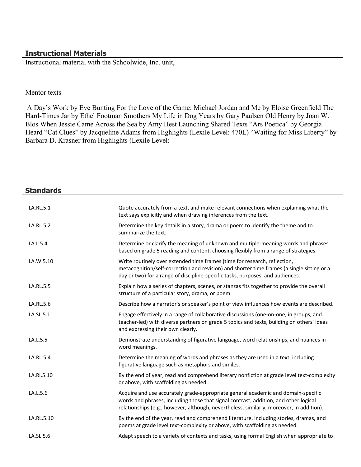#### **Instructional Materials**

Instructional material with the Schoolwide, Inc. unit,

#### Mentor texts

 A Day's Work by Eve Bunting For the Love of the Game: Michael Jordan and Me by Eloise Greenfield The Hard-Times Jar by Ethel Footman Smothers My Life in Dog Years by Gary Paulsen Old Henry by Joan W. Blos When Jessie Came Across the Sea by Amy Hest Launching Shared Texts "Ars Poetica" by Georgia Heard "Cat Clues" by Jacqueline Adams from Highlights (Lexile Level: 470L) "Waiting for Miss Liberty" by Barbara D. Krasner from Highlights (Lexile Level:

| <b>Standards</b> |                                                                                                                                                                                                                                                                       |
|------------------|-----------------------------------------------------------------------------------------------------------------------------------------------------------------------------------------------------------------------------------------------------------------------|
| LA.RL.5.1        | Quote accurately from a text, and make relevant connections when explaining what the<br>text says explicitly and when drawing inferences from the text.                                                                                                               |
| LA.RL.5.2        | Determine the key details in a story, drama or poem to identify the theme and to<br>summarize the text.                                                                                                                                                               |
| LA.L.5.4         | Determine or clarify the meaning of unknown and multiple-meaning words and phrases<br>based on grade 5 reading and content, choosing flexibly from a range of strategies.                                                                                             |
| LA.W.5.10        | Write routinely over extended time frames (time for research, reflection,<br>metacognition/self-correction and revision) and shorter time frames (a single sitting or a<br>day or two) for a range of discipline-specific tasks, purposes, and audiences.             |
| LA.RL.5.5        | Explain how a series of chapters, scenes, or stanzas fits together to provide the overall<br>structure of a particular story, drama, or poem.                                                                                                                         |
| LA.RL.5.6        | Describe how a narrator's or speaker's point of view influences how events are described.                                                                                                                                                                             |
| LA.SL.5.1        | Engage effectively in a range of collaborative discussions (one-on-one, in groups, and<br>teacher-led) with diverse partners on grade 5 topics and texts, building on others' ideas<br>and expressing their own clearly.                                              |
| LA.L.5.5         | Demonstrate understanding of figurative language, word relationships, and nuances in<br>word meanings.                                                                                                                                                                |
| LA.RL.5.4        | Determine the meaning of words and phrases as they are used in a text, including<br>figurative language such as metaphors and similes.                                                                                                                                |
| LA.RI.5.10       | By the end of year, read and comprehend literary nonfiction at grade level text-complexity<br>or above, with scaffolding as needed.                                                                                                                                   |
| LA.L.5.6         | Acquire and use accurately grade-appropriate general academic and domain-specific<br>words and phrases, including those that signal contrast, addition, and other logical<br>relationships (e.g., however, although, nevertheless, similarly, moreover, in addition). |
| LA.RL.5.10       | By the end of the year, read and comprehend literature, including stories, dramas, and<br>poems at grade level text-complexity or above, with scaffolding as needed.                                                                                                  |
| LA.SL.5.6        | Adapt speech to a variety of contexts and tasks, using formal English when appropriate to                                                                                                                                                                             |